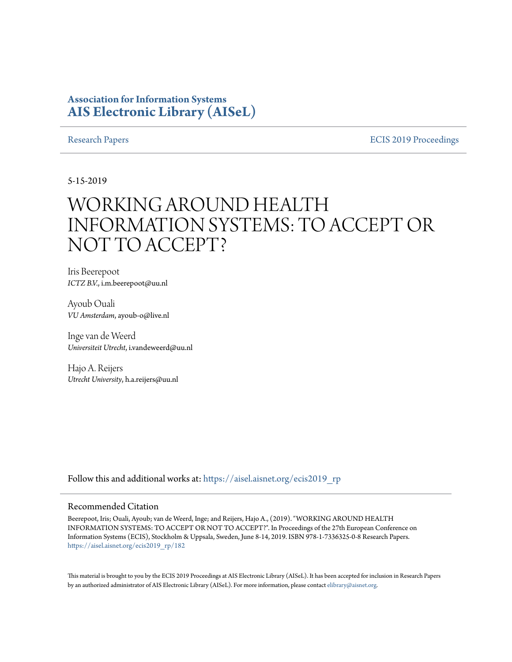# **Association for Information Systems [AIS Electronic Library \(AISeL\)](https://aisel.aisnet.org?utm_source=aisel.aisnet.org%2Fecis2019_rp%2F182&utm_medium=PDF&utm_campaign=PDFCoverPages)**

[Research Papers](https://aisel.aisnet.org/ecis2019_rp?utm_source=aisel.aisnet.org%2Fecis2019_rp%2F182&utm_medium=PDF&utm_campaign=PDFCoverPages) **ECIS 2019** Proceedings

5-15-2019

# WORKING AROUND HEALTH INFORMATION SYSTEMS: TO ACCEPT OR NOT TO ACCEPT?

Iris Beerepoot *ICTZ B.V.*, i.m.beerepoot@uu.nl

Ayoub Ouali *VU Amsterdam*, ayoub-o@live.nl

Inge van de Weerd *Universiteit Utrecht*, i.vandeweerd@uu.nl

Hajo A. Reijers *Utrecht University*, h.a.reijers@uu.nl

Follow this and additional works at: [https://aisel.aisnet.org/ecis2019\\_rp](https://aisel.aisnet.org/ecis2019_rp?utm_source=aisel.aisnet.org%2Fecis2019_rp%2F182&utm_medium=PDF&utm_campaign=PDFCoverPages)

#### Recommended Citation

Beerepoot, Iris; Ouali, Ayoub; van de Weerd, Inge; and Reijers, Hajo A., (2019). "WORKING AROUND HEALTH INFORMATION SYSTEMS: TO ACCEPT OR NOT TO ACCEPT?". In Proceedings of the 27th European Conference on Information Systems (ECIS), Stockholm & Uppsala, Sweden, June 8-14, 2019. ISBN 978-1-7336325-0-8 Research Papers. [https://aisel.aisnet.org/ecis2019\\_rp/182](https://aisel.aisnet.org/ecis2019_rp/182?utm_source=aisel.aisnet.org%2Fecis2019_rp%2F182&utm_medium=PDF&utm_campaign=PDFCoverPages)

This material is brought to you by the ECIS 2019 Proceedings at AIS Electronic Library (AISeL). It has been accepted for inclusion in Research Papers by an authorized administrator of AIS Electronic Library (AISeL). For more information, please contact [elibrary@aisnet.org](mailto:elibrary@aisnet.org%3E).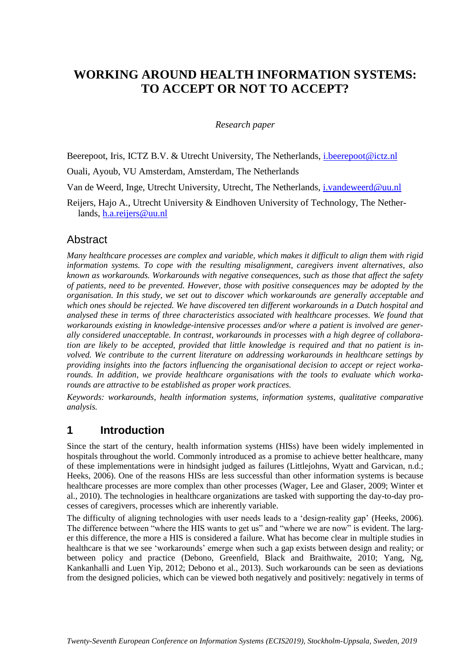# **WORKING AROUND HEALTH INFORMATION SYSTEMS: TO ACCEPT OR NOT TO ACCEPT?**

#### *Research paper*

Beerepoot, Iris, ICTZ B.V. & Utrecht University, The Netherlands, *i.beerepoot@ictz.nl* 

Ouali, Ayoub, VU Amsterdam, Amsterdam, The Netherlands

Van de Weerd, Inge, Utrecht University, Utrecht, The Netherlands, [i.vandeweerd@uu.nl](mailto:i.vandeweerd@uu.nl)

Reijers, Hajo A., Utrecht University & Eindhoven University of Technology, The Netherlands, [h.a.reijers@uu.nl](mailto:h.a.reijers@uu.nl)

# **Abstract**

*Many healthcare processes are complex and variable, which makes it difficult to align them with rigid information systems. To cope with the resulting misalignment, caregivers invent alternatives, also known as workarounds. Workarounds with negative consequences, such as those that affect the safety of patients, need to be prevented. However, those with positive consequences may be adopted by the organisation. In this study, we set out to discover which workarounds are generally acceptable and which ones should be rejected. We have discovered ten different workarounds in a Dutch hospital and analysed these in terms of three characteristics associated with healthcare processes. We found that workarounds existing in knowledge-intensive processes and/or where a patient is involved are generally considered unacceptable. In contrast, workarounds in processes with a high degree of collaboration are likely to be accepted, provided that little knowledge is required and that no patient is involved. We contribute to the current literature on addressing workarounds in healthcare settings by providing insights into the factors influencing the organisational decision to accept or reject workarounds. In addition, we provide healthcare organisations with the tools to evaluate which workarounds are attractive to be established as proper work practices.* 

*Keywords: workarounds, health information systems, information systems, qualitative comparative analysis.*

# **1 Introduction**

Since the start of the century, health information systems (HISs) have been widely implemented in hospitals throughout the world. Commonly introduced as a promise to achieve better healthcare, many of these implementations were in hindsight judged as failures (Littlejohns, Wyatt and Garvican, n.d.; Heeks, 2006). One of the reasons HISs are less successful than other information systems is because healthcare processes are more complex than other processes (Wager, Lee and Glaser, 2009; Winter et al., 2010). The technologies in healthcare organizations are tasked with supporting the day-to-day processes of caregivers, processes which are inherently variable.

The difficulty of aligning technologies with user needs leads to a 'design-reality gap' (Heeks, 2006). The difference between "where the HIS wants to get us" and "where we are now" is evident. The larger this difference, the more a HIS is considered a failure. What has become clear in multiple studies in healthcare is that we see 'workarounds' emerge when such a gap exists between design and reality; or between policy and practice (Debono, Greenfield, Black and Braithwaite, 2010; Yang, Ng, Kankanhalli and Luen Yip, 2012; Debono et al., 2013). Such workarounds can be seen as deviations from the designed policies, which can be viewed both negatively and positively: negatively in terms of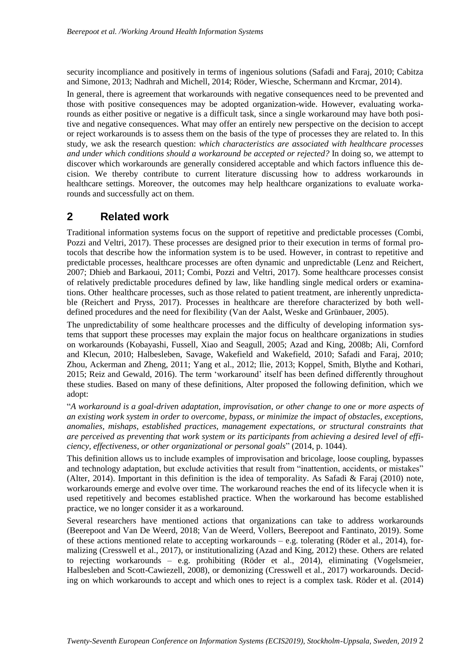security incompliance and positively in terms of ingenious solutions (Safadi and Faraj, 2010; Cabitza and Simone, 2013; Nadhrah and Michell, 2014; Röder, Wiesche, Schermann and Krcmar, 2014).

In general, there is agreement that workarounds with negative consequences need to be prevented and those with positive consequences may be adopted organization-wide. However, evaluating workarounds as either positive or negative is a difficult task, since a single workaround may have both positive and negative consequences. What may offer an entirely new perspective on the decision to accept or reject workarounds is to assess them on the basis of the type of processes they are related to. In this study, we ask the research question: *which characteristics are associated with healthcare processes and under which conditions should a workaround be accepted or rejected?* In doing so, we attempt to discover which workarounds are generally considered acceptable and which factors influence this decision. We thereby contribute to current literature discussing how to address workarounds in healthcare settings. Moreover, the outcomes may help healthcare organizations to evaluate workarounds and successfully act on them.

# **2 Related work**

Traditional information systems focus on the support of repetitive and predictable processes (Combi, Pozzi and Veltri, 2017). These processes are designed prior to their execution in terms of formal protocols that describe how the information system is to be used. However, in contrast to repetitive and predictable processes, healthcare processes are often dynamic and unpredictable (Lenz and Reichert, 2007; Dhieb and Barkaoui, 2011; Combi, Pozzi and Veltri, 2017). Some healthcare processes consist of relatively predictable procedures defined by law, like handling single medical orders or examinations. Other healthcare processes, such as those related to patient treatment, are inherently unpredictable (Reichert and Pryss, 2017). Processes in healthcare are therefore characterized by both welldefined procedures and the need for flexibility (Van der Aalst, Weske and Grünbauer, 2005).

The unpredictability of some healthcare processes and the difficulty of developing information systems that support these processes may explain the major focus on healthcare organizations in studies on workarounds (Kobayashi, Fussell, Xiao and Seagull, 2005; Azad and King, 2008b; Ali, Cornford and Klecun, 2010; Halbesleben, Savage, Wakefield and Wakefield, 2010; Safadi and Faraj, 2010; Zhou, Ackerman and Zheng, 2011; Yang et al., 2012; Ilie, 2013; Koppel, Smith, Blythe and Kothari, 2015; Reiz and Gewald, 2016). The term 'workaround' itself has been defined differently throughout these studies. Based on many of these definitions, Alter proposed the following definition, which we adopt:

"*A workaround is a goal-driven adaptation, improvisation, or other change to one or more aspects of an existing work system in order to overcome, bypass, or minimize the impact of obstacles, exceptions, anomalies, mishaps, established practices, management expectations, or structural constraints that are perceived as preventing that work system or its participants from achieving a desired level of efficiency, effectiveness, or other organizational or personal goals*" (2014, p. 1044).

This definition allows us to include examples of improvisation and bricolage, loose coupling, bypasses and technology adaptation, but exclude activities that result from "inattention, accidents, or mistakes" (Alter, 2014). Important in this definition is the idea of temporality. As Safadi & Faraj (2010) note, workarounds emerge and evolve over time. The workaround reaches the end of its lifecycle when it is used repetitively and becomes established practice. When the workaround has become established practice, we no longer consider it as a workaround.

Several researchers have mentioned actions that organizations can take to address workarounds (Beerepoot and Van De Weerd, 2018; Van de Weerd, Vollers, Beerepoot and Fantinato, 2019). Some of these actions mentioned relate to accepting workarounds – e.g. tolerating (Röder et al., 2014), formalizing (Cresswell et al., 2017), or institutionalizing (Azad and King, 2012) these. Others are related to rejecting workarounds – e.g. prohibiting (Röder et al., 2014), eliminating (Vogelsmeier, Halbesleben and Scott-Cawiezell, 2008), or demonizing (Cresswell et al., 2017) workarounds. Deciding on which workarounds to accept and which ones to reject is a complex task. Röder et al. (2014)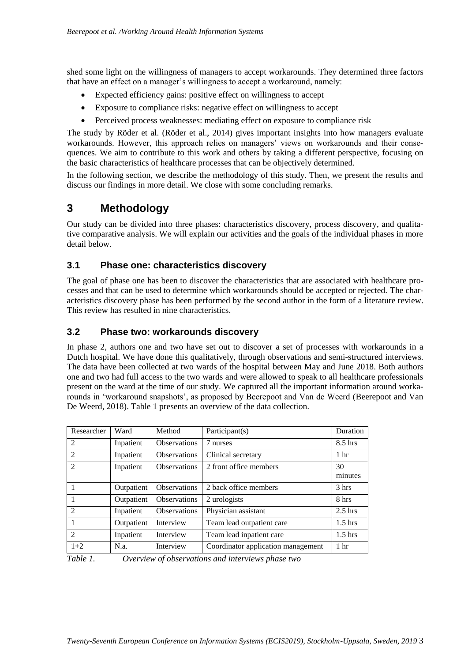shed some light on the willingness of managers to accept workarounds. They determined three factors that have an effect on a manager's willingness to accept a workaround, namely:

- Expected efficiency gains: positive effect on willingness to accept
- Exposure to compliance risks: negative effect on willingness to accept
- Perceived process weaknesses: mediating effect on exposure to compliance risk

The study by Röder et al. (Röder et al., 2014) gives important insights into how managers evaluate workarounds. However, this approach relies on managers' views on workarounds and their consequences. We aim to contribute to this work and others by taking a different perspective, focusing on the basic characteristics of healthcare processes that can be objectively determined.

In the following section, we describe the methodology of this study. Then, we present the results and discuss our findings in more detail. We close with some concluding remarks.

# **3 Methodology**

Our study can be divided into three phases: characteristics discovery, process discovery, and qualitative comparative analysis. We will explain our activities and the goals of the individual phases in more detail below.

# **3.1 Phase one: characteristics discovery**

The goal of phase one has been to discover the characteristics that are associated with healthcare processes and that can be used to determine which workarounds should be accepted or rejected. The characteristics discovery phase has been performed by the second author in the form of a literature review. This review has resulted in nine characteristics.

# **3.2 Phase two: workarounds discovery**

In phase 2, authors one and two have set out to discover a set of processes with workarounds in a Dutch hospital. We have done this qualitatively, through observations and semi-structured interviews. The data have been collected at two wards of the hospital between May and June 2018. Both authors one and two had full access to the two wards and were allowed to speak to all healthcare professionals present on the ward at the time of our study. We captured all the important information around workarounds in 'workaround snapshots', as proposed by Beerepoot and Van de Weerd (Beerepoot and Van De Weerd, 2018). Table 1 presents an overview of the data collection.

| Researcher     | Ward       | Method              | Participant(s)                     | Duration        |
|----------------|------------|---------------------|------------------------------------|-----------------|
| $\overline{2}$ | Inpatient  | <b>Observations</b> | 7 nurses                           | $8.5$ hrs       |
| $\overline{2}$ | Inpatient  | <b>Observations</b> | Clinical secretary                 | 1 <sub>hr</sub> |
| $\mathfrak{D}$ | Inpatient  | <b>Observations</b> | 2 front office members             | 30<br>minutes   |
|                | Outpatient | <b>Observations</b> | 2 back office members              | 3 hrs           |
|                | Outpatient | <b>Observations</b> | 2 urologists                       | 8 hrs           |
| $\mathfrak{D}$ | Inpatient  | <b>Observations</b> | Physician assistant                | $2.5$ hrs       |
| 1              | Outpatient | Interview           | Team lead outpatient care          | $1.5$ hrs       |
| $\mathfrak{D}$ | Inpatient  | Interview           | Team lead inpatient care           | $1.5$ hrs       |
| $1+2$          | N.a.       | Interview           | Coordinator application management | 1 <sub>hr</sub> |

*Table 1. Overview of observations and interviews phase two*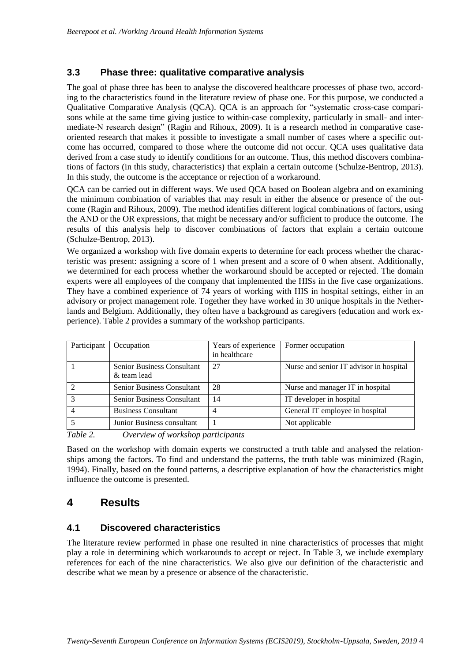# **3.3 Phase three: qualitative comparative analysis**

The goal of phase three has been to analyse the discovered healthcare processes of phase two, according to the characteristics found in the literature review of phase one. For this purpose, we conducted a Qualitative Comparative Analysis (QCA). QCA is an approach for "systematic cross-case comparisons while at the same time giving justice to within-case complexity, particularly in small- and intermediate-N research design" (Ragin and Rihoux, 2009). It is a research method in comparative caseoriented research that makes it possible to investigate a small number of cases where a specific outcome has occurred, compared to those where the outcome did not occur. QCA uses qualitative data derived from a case study to identify conditions for an outcome. Thus, this method discovers combinations of factors (in this study, characteristics) that explain a certain outcome (Schulze-Bentrop, 2013). In this study, the outcome is the acceptance or rejection of a workaround.

QCA can be carried out in different ways. We used QCA based on Boolean algebra and on examining the minimum combination of variables that may result in either the absence or presence of the outcome (Ragin and Rihoux, 2009). The method identifies different logical combinations of factors, using the AND or the OR expressions, that might be necessary and/or sufficient to produce the outcome. The results of this analysis help to discover combinations of factors that explain a certain outcome (Schulze-Bentrop, 2013).

We organized a workshop with five domain experts to determine for each process whether the characteristic was present: assigning a score of 1 when present and a score of 0 when absent. Additionally, we determined for each process whether the workaround should be accepted or rejected. The domain experts were all employees of the company that implemented the HISs in the five case organizations. They have a combined experience of 74 years of working with HIS in hospital settings, either in an advisory or project management role. Together they have worked in 30 unique hospitals in the Netherlands and Belgium. Additionally, they often have a background as caregivers (education and work experience). Table 2 provides a summary of the workshop participants.

| Participant | Occupation                                       | Years of experience<br>in healthcare | Former occupation                       |
|-------------|--------------------------------------------------|--------------------------------------|-----------------------------------------|
|             | <b>Senior Business Consultant</b><br>& team lead | 27                                   | Nurse and senior IT advisor in hospital |
|             | <b>Senior Business Consultant</b>                | 28                                   | Nurse and manager IT in hospital        |
|             | Senior Business Consultant                       | 14                                   | IT developer in hospital                |
|             | <b>Business Consultant</b>                       | 4                                    | General IT employee in hospital         |
|             | Junior Business consultant                       |                                      | Not applicable                          |

*Table 2. Overview of workshop participants*

Based on the workshop with domain experts we constructed a truth table and analysed the relationships among the factors. To find and understand the patterns, the truth table was minimized (Ragin, 1994). Finally, based on the found patterns, a descriptive explanation of how the characteristics might influence the outcome is presented.

# **4 Results**

# **4.1 Discovered characteristics**

The literature review performed in phase one resulted in nine characteristics of processes that might play a role in determining which workarounds to accept or reject. In Table 3, we include exemplary references for each of the nine characteristics. We also give our definition of the characteristic and describe what we mean by a presence or absence of the characteristic.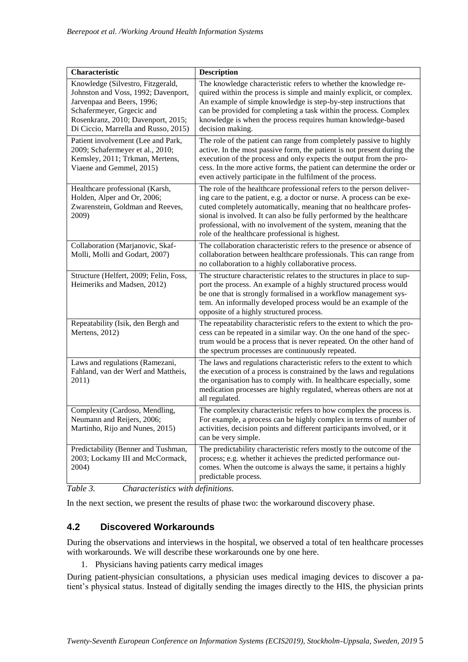| Characteristic                                                                                                                                                                                                    | <b>Description</b>                                                                                                                                                                                                                                                                                                                                                                                                    |
|-------------------------------------------------------------------------------------------------------------------------------------------------------------------------------------------------------------------|-----------------------------------------------------------------------------------------------------------------------------------------------------------------------------------------------------------------------------------------------------------------------------------------------------------------------------------------------------------------------------------------------------------------------|
| Knowledge (Silvestro, Fitzgerald,<br>Johnston and Voss, 1992; Davenport,<br>Jarvenpaa and Beers, 1996;<br>Schafermeyer, Grgecic and<br>Rosenkranz, 2010; Davenport, 2015;<br>Di Ciccio, Marrella and Russo, 2015) | The knowledge characteristic refers to whether the knowledge re-<br>quired within the process is simple and mainly explicit, or complex.<br>An example of simple knowledge is step-by-step instructions that<br>can be provided for completing a task within the process. Complex<br>knowledge is when the process requires human knowledge-based<br>decision making.                                                 |
| Patient involvement (Lee and Park,<br>2009; Schafermeyer et al., 2010;<br>Kemsley, 2011; Trkman, Mertens,<br>Viaene and Gemmel, 2015)                                                                             | The role of the patient can range from completely passive to highly<br>active. In the most passive form, the patient is not present during the<br>execution of the process and only expects the output from the pro-<br>cess. In the more active forms, the patient can determine the order or<br>even actively participate in the fulfilment of the process.                                                         |
| Healthcare professional (Karsh,<br>Holden, Alper and Or, 2006;<br>Zwarenstein, Goldman and Reeves,<br>2009)                                                                                                       | The role of the healthcare professional refers to the person deliver-<br>ing care to the patient, e.g. a doctor or nurse. A process can be exe-<br>cuted completely automatically, meaning that no healthcare profes-<br>sional is involved. It can also be fully performed by the healthcare<br>professional, with no involvement of the system, meaning that the<br>role of the healthcare professional is highest. |
| Collaboration (Marjanovic, Skaf-<br>Molli, Molli and Godart, 2007)                                                                                                                                                | The collaboration characteristic refers to the presence or absence of<br>collaboration between healthcare professionals. This can range from<br>no collaboration to a highly collaborative process.                                                                                                                                                                                                                   |
| Structure (Helfert, 2009; Felin, Foss,<br>Heimeriks and Madsen, 2012)                                                                                                                                             | The structure characteristic relates to the structures in place to sup-<br>port the process. An example of a highly structured process would<br>be one that is strongly formalised in a workflow management sys-<br>tem. An informally developed process would be an example of the<br>opposite of a highly structured process.                                                                                       |
| Repeatability (Isik, den Bergh and<br>Mertens, 2012)                                                                                                                                                              | The repeatability characteristic refers to the extent to which the pro-<br>cess can be repeated in a similar way. On the one hand of the spec-<br>trum would be a process that is never repeated. On the other hand of<br>the spectrum processes are continuously repeated.                                                                                                                                           |
| Laws and regulations (Ramezani,<br>Fahland, van der Werf and Mattheis,<br>2011)                                                                                                                                   | The laws and regulations characteristic refers to the extent to which<br>the execution of a process is constrained by the laws and regulations<br>the organisation has to comply with. In healthcare especially, some<br>medication processes are highly regulated, whereas others are not at<br>all regulated.                                                                                                       |
| Complexity (Cardoso, Mendling,<br>Neumann and Reijers, 2006;<br>Martinho, Rijo and Nunes, 2015)                                                                                                                   | The complexity characteristic refers to how complex the process is.<br>For example, a process can be highly complex in terms of number of<br>activities, decision points and different participants involved, or it<br>can be very simple.                                                                                                                                                                            |
| Predictability (Benner and Tushman,<br>2003; Lockamy III and McCormack,<br>2004)                                                                                                                                  | The predictability characteristic refers mostly to the outcome of the<br>process; e.g. whether it achieves the predicted performance out-<br>comes. When the outcome is always the same, it pertains a highly<br>predictable process.                                                                                                                                                                                 |

*Table 3. Characteristics with definitions.*

In the next section, we present the results of phase two: the workaround discovery phase.

# **4.2 Discovered Workarounds**

During the observations and interviews in the hospital, we observed a total of ten healthcare processes with workarounds. We will describe these workarounds one by one here.

1. Physicians having patients carry medical images

During patient-physician consultations, a physician uses medical imaging devices to discover a patient's physical status. Instead of digitally sending the images directly to the HIS, the physician prints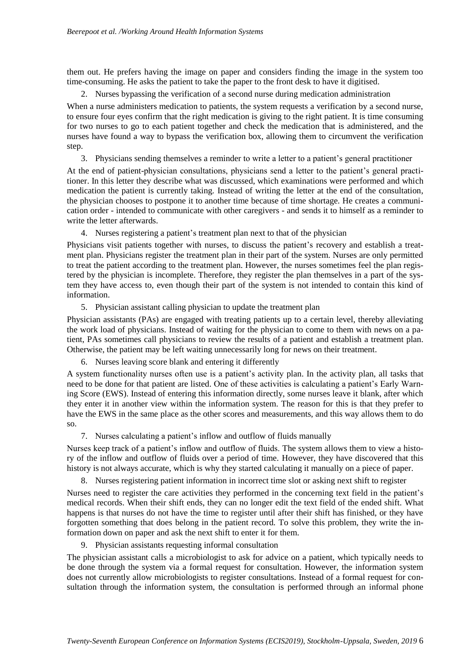them out. He prefers having the image on paper and considers finding the image in the system too time-consuming. He asks the patient to take the paper to the front desk to have it digitised.

2. Nurses bypassing the verification of a second nurse during medication administration

When a nurse administers medication to patients, the system requests a verification by a second nurse, to ensure four eyes confirm that the right medication is giving to the right patient. It is time consuming for two nurses to go to each patient together and check the medication that is administered, and the nurses have found a way to bypass the verification box, allowing them to circumvent the verification step.

3. Physicians sending themselves a reminder to write a letter to a patient's general practitioner

At the end of patient-physician consultations, physicians send a letter to the patient's general practitioner. In this letter they describe what was discussed, which examinations were performed and which medication the patient is currently taking. Instead of writing the letter at the end of the consultation, the physician chooses to postpone it to another time because of time shortage. He creates a communication order - intended to communicate with other caregivers - and sends it to himself as a reminder to write the letter afterwards.

4. Nurses registering a patient's treatment plan next to that of the physician

Physicians visit patients together with nurses, to discuss the patient's recovery and establish a treatment plan. Physicians register the treatment plan in their part of the system. Nurses are only permitted to treat the patient according to the treatment plan. However, the nurses sometimes feel the plan registered by the physician is incomplete. Therefore, they register the plan themselves in a part of the system they have access to, even though their part of the system is not intended to contain this kind of information.

5. Physician assistant calling physician to update the treatment plan

Physician assistants (PAs) are engaged with treating patients up to a certain level, thereby alleviating the work load of physicians. Instead of waiting for the physician to come to them with news on a patient, PAs sometimes call physicians to review the results of a patient and establish a treatment plan. Otherwise, the patient may be left waiting unnecessarily long for news on their treatment.

6. Nurses leaving score blank and entering it differently

A system functionality nurses often use is a patient's activity plan. In the activity plan, all tasks that need to be done for that patient are listed. One of these activities is calculating a patient's Early Warning Score (EWS). Instead of entering this information directly, some nurses leave it blank, after which they enter it in another view within the information system. The reason for this is that they prefer to have the EWS in the same place as the other scores and measurements, and this way allows them to do so.

7. Nurses calculating a patient's inflow and outflow of fluids manually

Nurses keep track of a patient's inflow and outflow of fluids. The system allows them to view a history of the inflow and outflow of fluids over a period of time. However, they have discovered that this history is not always accurate, which is why they started calculating it manually on a piece of paper.

8. Nurses registering patient information in incorrect time slot or asking next shift to register

Nurses need to register the care activities they performed in the concerning text field in the patient's medical records. When their shift ends, they can no longer edit the text field of the ended shift. What happens is that nurses do not have the time to register until after their shift has finished, or they have forgotten something that does belong in the patient record. To solve this problem, they write the information down on paper and ask the next shift to enter it for them.

9. Physician assistants requesting informal consultation

The physician assistant calls a microbiologist to ask for advice on a patient, which typically needs to be done through the system via a formal request for consultation. However, the information system does not currently allow microbiologists to register consultations. Instead of a formal request for consultation through the information system, the consultation is performed through an informal phone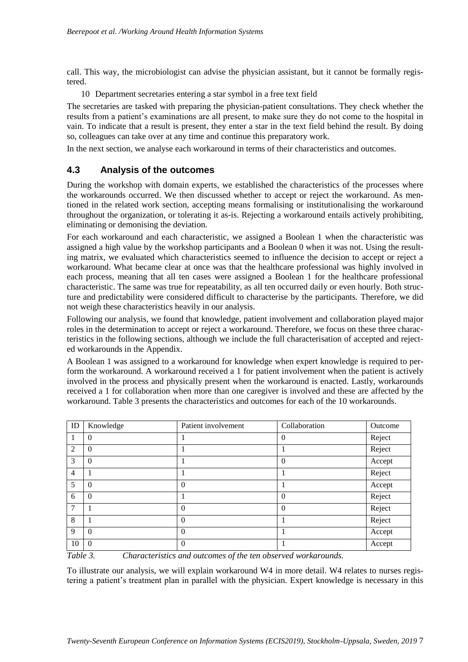call. This way, the microbiologist can advise the physician assistant, but it cannot be formally registered.

10 Department secretaries entering a star symbol in a free text field

The secretaries are tasked with preparing the physician-patient consultations. They check whether the results from a patient's examinations are all present, to make sure they do not come to the hospital in vain. To indicate that a result is present, they enter a star in the text field behind the result. By doing so, colleagues can take over at any time and continue this preparatory work.

In the next section, we analyse each workaround in terms of their characteristics and outcomes.

# **4.3 Analysis of the outcomes**

During the workshop with domain experts, we established the characteristics of the processes where the workarounds occurred. We then discussed whether to accept or reject the workaround. As mentioned in the related work section, accepting means formalising or institutionalising the workaround throughout the organization, or tolerating it as-is. Rejecting a workaround entails actively prohibiting, eliminating or demonising the deviation.

For each workaround and each characteristic, we assigned a Boolean 1 when the characteristic was assigned a high value by the workshop participants and a Boolean 0 when it was not. Using the resulting matrix, we evaluated which characteristics seemed to influence the decision to accept or reject a workaround. What became clear at once was that the healthcare professional was highly involved in each process, meaning that all ten cases were assigned a Boolean 1 for the healthcare professional characteristic. The same was true for repeatability, as all ten occurred daily or even hourly. Both structure and predictability were considered difficult to characterise by the participants. Therefore, we did not weigh these characteristics heavily in our analysis.

Following our analysis, we found that knowledge, patient involvement and collaboration played major roles in the determination to accept or reject a workaround. Therefore, we focus on these three characteristics in the following sections, although we include the full characterisation of accepted and rejected workarounds in the Appendix.

A Boolean 1 was assigned to a workaround for knowledge when expert knowledge is required to perform the workaround. A workaround received a 1 for patient involvement when the patient is actively involved in the process and physically present when the workaround is enacted. Lastly, workarounds received a 1 for collaboration when more than one caregiver is involved and these are affected by the workaround. Table 3 presents the characteristics and outcomes for each of the 10 workarounds.

| ID             | Knowledge      | Patient involvement | Collaboration  | Outcome |
|----------------|----------------|---------------------|----------------|---------|
|                | $\theta$       |                     | $\overline{0}$ | Reject  |
| 2              | $\overline{0}$ |                     |                | Reject  |
| 3              | $\theta$       |                     | $\overline{0}$ | Accept  |
| $\overline{4}$ |                |                     |                | Reject  |
| 5              | $\overline{0}$ | $\theta$            |                | Accept  |
| 6              | $\overline{0}$ |                     | $\overline{0}$ | Reject  |
| 7              |                | $\theta$            | $\overline{0}$ | Reject  |
| 8              |                | $\theta$            |                | Reject  |
| 9              | $\overline{0}$ | $\theta$            |                | Accept  |
| 10             | $\theta$       | $\theta$            |                | Accept  |

*Table 3. Characteristics and outcomes of the ten observed workarounds.*

To illustrate our analysis, we will explain workaround W4 in more detail. W4 relates to nurses registering a patient's treatment plan in parallel with the physician. Expert knowledge is necessary in this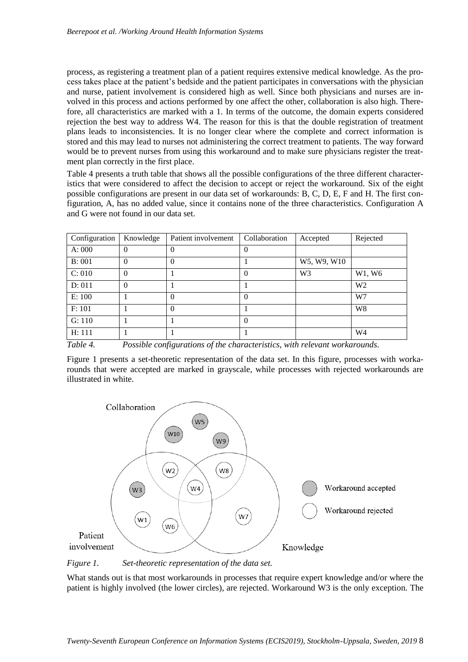process, as registering a treatment plan of a patient requires extensive medical knowledge. As the process takes place at the patient's bedside and the patient participates in conversations with the physician and nurse, patient involvement is considered high as well. Since both physicians and nurses are involved in this process and actions performed by one affect the other, collaboration is also high. Therefore, all characteristics are marked with a 1. In terms of the outcome, the domain experts considered rejection the best way to address W4. The reason for this is that the double registration of treatment plans leads to inconsistencies. It is no longer clear where the complete and correct information is stored and this may lead to nurses not administering the correct treatment to patients. The way forward would be to prevent nurses from using this workaround and to make sure physicians register the treatment plan correctly in the first place.

Table 4 presents a truth table that shows all the possible configurations of the three different characteristics that were considered to affect the decision to accept or reject the workaround. Six of the eight possible configurations are present in our data set of workarounds: B, C, D, E, F and H. The first configuration, A, has no added value, since it contains none of the three characteristics. Configuration A and G were not found in our data set.

| Configuration | Knowledge | Patient involvement | Collaboration | Accepted       | Rejected       |
|---------------|-----------|---------------------|---------------|----------------|----------------|
| A: 000        | $\theta$  | $\theta$            | 0             |                |                |
| B: 001        | $\Omega$  | 0                   |               | W5, W9, W10    |                |
| C: 010        | $\Omega$  |                     | $\theta$      | W <sub>3</sub> | W1, W6         |
| D: 011        | $\Omega$  |                     |               |                | W <sub>2</sub> |
| E: 100        |           | 0                   | 0             |                | W7             |
| F: 101        |           | $\Omega$            |               |                | W <sub>8</sub> |
| G: 110        |           |                     | 0             |                |                |
| H: 111        |           |                     |               |                | W <sub>4</sub> |

*Table 4. Possible configurations of the characteristics, with relevant workarounds.*

Figure 1 presents a set-theoretic representation of the data set. In this figure, processes with workarounds that were accepted are marked in grayscale, while processes with rejected workarounds are illustrated in white.



*Figure 1. Set-theoretic representation of the data set.* 

What stands out is that most workarounds in processes that require expert knowledge and/or where the patient is highly involved (the lower circles), are rejected. Workaround W3 is the only exception. The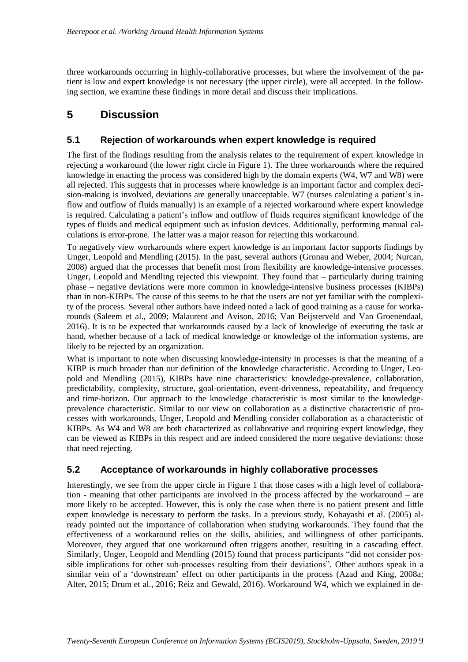three workarounds occurring in highly-collaborative processes, but where the involvement of the patient is low and expert knowledge is not necessary (the upper circle), were all accepted. In the following section, we examine these findings in more detail and discuss their implications.

# **5 Discussion**

# **5.1 Rejection of workarounds when expert knowledge is required**

The first of the findings resulting from the analysis relates to the requirement of expert knowledge in rejecting a workaround (the lower right circle in Figure 1). The three workarounds where the required knowledge in enacting the process was considered high by the domain experts (W4, W7 and W8) were all rejected. This suggests that in processes where knowledge is an important factor and complex decision-making is involved, deviations are generally unacceptable. W7 (nurses calculating a patient's inflow and outflow of fluids manually) is an example of a rejected workaround where expert knowledge is required. Calculating a patient's inflow and outflow of fluids requires significant knowledge of the types of fluids and medical equipment such as infusion devices. Additionally, performing manual calculations is error-prone. The latter was a major reason for rejecting this workaround.

To negatively view workarounds where expert knowledge is an important factor supports findings by Unger, Leopold and Mendling (2015). In the past, several authors (Gronau and Weber, 2004; Nurcan, 2008) argued that the processes that benefit most from flexibility are knowledge-intensive processes. Unger, Leopold and Mendling rejected this viewpoint. They found that – particularly during training phase – negative deviations were more common in knowledge-intensive business processes (KIBPs) than in non-KIBPs. The cause of this seems to be that the users are not yet familiar with the complexity of the process. Several other authors have indeed noted a lack of good training as a cause for workarounds (Saleem et al., 2009; Malaurent and Avison, 2016; Van Beijsterveld and Van Groenendaal, 2016). It is to be expected that workarounds caused by a lack of knowledge of executing the task at hand, whether because of a lack of medical knowledge or knowledge of the information systems, are likely to be rejected by an organization.

What is important to note when discussing knowledge-intensity in processes is that the meaning of a KIBP is much broader than our definition of the knowledge characteristic. According to Unger, Leopold and Mendling (2015), KIBPs have nine characteristics: knowledge-prevalence, collaboration, predictability, complexity, structure, goal-orientation, event-drivenness, repeatability, and frequency and time-horizon. Our approach to the knowledge characteristic is most similar to the knowledgeprevalence characteristic. Similar to our view on collaboration as a distinctive characteristic of processes with workarounds, Unger, Leopold and Mendling consider collaboration as a characteristic of KIBPs. As W4 and W8 are both characterized as collaborative and requiring expert knowledge, they can be viewed as KIBPs in this respect and are indeed considered the more negative deviations: those that need rejecting.

# **5.2 Acceptance of workarounds in highly collaborative processes**

Interestingly, we see from the upper circle in Figure 1 that those cases with a high level of collaboration - meaning that other participants are involved in the process affected by the workaround – are more likely to be accepted. However, this is only the case when there is no patient present and little expert knowledge is necessary to perform the tasks. In a previous study, Kobayashi et al. (2005) already pointed out the importance of collaboration when studying workarounds. They found that the effectiveness of a workaround relies on the skills, abilities, and willingness of other participants. Moreover, they argued that one workaround often triggers another, resulting in a cascading effect. Similarly, Unger, Leopold and Mendling (2015) found that process participants "did not consider possible implications for other sub-processes resulting from their deviations". Other authors speak in a similar vein of a 'downstream' effect on other participants in the process (Azad and King, 2008a; Alter, 2015; Drum et al., 2016; Reiz and Gewald, 2016). Workaround W4, which we explained in de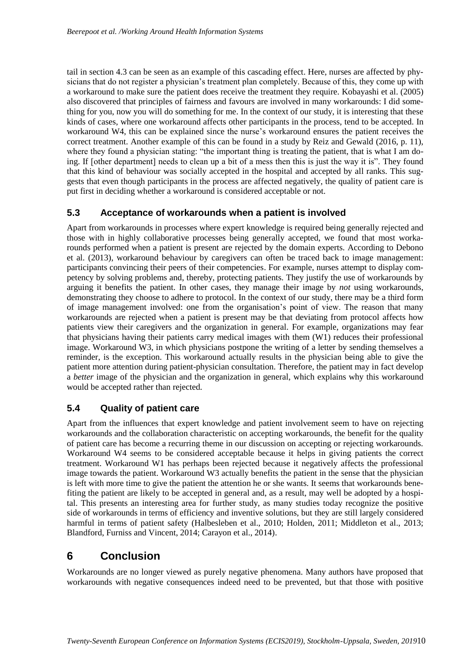tail in section 4.3 can be seen as an example of this cascading effect. Here, nurses are affected by physicians that do not register a physician's treatment plan completely. Because of this, they come up with a workaround to make sure the patient does receive the treatment they require. Kobayashi et al. (2005) also discovered that principles of fairness and favours are involved in many workarounds: I did something for you, now you will do something for me. In the context of our study, it is interesting that these kinds of cases, where one workaround affects other participants in the process, tend to be accepted. In workaround W4, this can be explained since the nurse's workaround ensures the patient receives the correct treatment. Another example of this can be found in a study by Reiz and Gewald (2016, p. 11), where they found a physician stating: "the important thing is treating the patient, that is what I am doing. If [other department] needs to clean up a bit of a mess then this is just the way it is". They found that this kind of behaviour was socially accepted in the hospital and accepted by all ranks. This suggests that even though participants in the process are affected negatively, the quality of patient care is put first in deciding whether a workaround is considered acceptable or not.

# **5.3 Acceptance of workarounds when a patient is involved**

Apart from workarounds in processes where expert knowledge is required being generally rejected and those with in highly collaborative processes being generally accepted, we found that most workarounds performed when a patient is present are rejected by the domain experts. According to Debono et al. (2013), workaround behaviour by caregivers can often be traced back to image management: participants convincing their peers of their competencies. For example, nurses attempt to display competency by solving problems and, thereby, protecting patients. They justify the use of workarounds by arguing it benefits the patient. In other cases, they manage their image by *not* using workarounds, demonstrating they choose to adhere to protocol. In the context of our study, there may be a third form of image management involved: one from the organisation's point of view. The reason that many workarounds are rejected when a patient is present may be that deviating from protocol affects how patients view their caregivers and the organization in general. For example, organizations may fear that physicians having their patients carry medical images with them (W1) reduces their professional image. Workaround W3, in which physicians postpone the writing of a letter by sending themselves a reminder, is the exception. This workaround actually results in the physician being able to give the patient more attention during patient-physician consultation. Therefore, the patient may in fact develop a *better* image of the physician and the organization in general, which explains why this workaround would be accepted rather than rejected.

# **5.4 Quality of patient care**

Apart from the influences that expert knowledge and patient involvement seem to have on rejecting workarounds and the collaboration characteristic on accepting workarounds, the benefit for the quality of patient care has become a recurring theme in our discussion on accepting or rejecting workarounds. Workaround W4 seems to be considered acceptable because it helps in giving patients the correct treatment. Workaround W1 has perhaps been rejected because it negatively affects the professional image towards the patient. Workaround W3 actually benefits the patient in the sense that the physician is left with more time to give the patient the attention he or she wants. It seems that workarounds benefiting the patient are likely to be accepted in general and, as a result, may well be adopted by a hospital. This presents an interesting area for further study, as many studies today recognize the positive side of workarounds in terms of efficiency and inventive solutions, but they are still largely considered harmful in terms of patient safety (Halbesleben et al., 2010; Holden, 2011; Middleton et al., 2013; Blandford, Furniss and Vincent, 2014; Carayon et al., 2014).

# **6 Conclusion**

Workarounds are no longer viewed as purely negative phenomena. Many authors have proposed that workarounds with negative consequences indeed need to be prevented, but that those with positive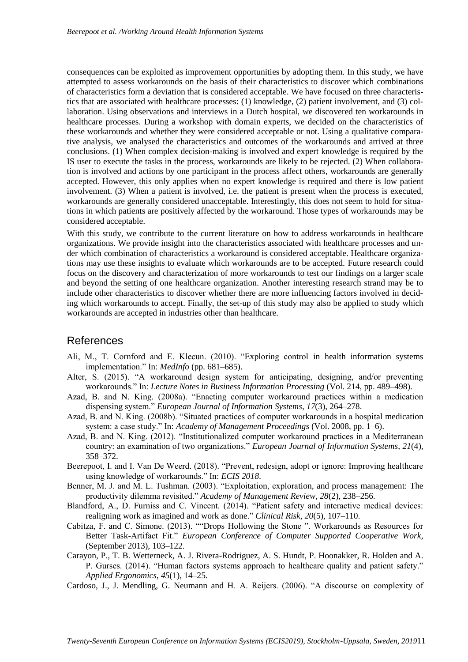consequences can be exploited as improvement opportunities by adopting them. In this study, we have attempted to assess workarounds on the basis of their characteristics to discover which combinations of characteristics form a deviation that is considered acceptable. We have focused on three characteristics that are associated with healthcare processes: (1) knowledge, (2) patient involvement, and (3) collaboration. Using observations and interviews in a Dutch hospital, we discovered ten workarounds in healthcare processes. During a workshop with domain experts, we decided on the characteristics of these workarounds and whether they were considered acceptable or not. Using a qualitative comparative analysis, we analysed the characteristics and outcomes of the workarounds and arrived at three conclusions. (1) When complex decision-making is involved and expert knowledge is required by the IS user to execute the tasks in the process, workarounds are likely to be rejected. (2) When collaboration is involved and actions by one participant in the process affect others, workarounds are generally accepted. However, this only applies when no expert knowledge is required and there is low patient involvement. (3) When a patient is involved, i.e. the patient is present when the process is executed, workarounds are generally considered unacceptable. Interestingly, this does not seem to hold for situations in which patients are positively affected by the workaround. Those types of workarounds may be considered acceptable.

With this study, we contribute to the current literature on how to address workarounds in healthcare organizations. We provide insight into the characteristics associated with healthcare processes and under which combination of characteristics a workaround is considered acceptable. Healthcare organizations may use these insights to evaluate which workarounds are to be accepted. Future research could focus on the discovery and characterization of more workarounds to test our findings on a larger scale and beyond the setting of one healthcare organization. Another interesting research strand may be to include other characteristics to discover whether there are more influencing factors involved in deciding which workarounds to accept. Finally, the set-up of this study may also be applied to study which workarounds are accepted in industries other than healthcare.

#### References

- Ali, M., T. Cornford and E. Klecun. (2010). "Exploring control in health information systems implementation." In: *MedInfo* (pp. 681–685).
- Alter, S. (2015). "A workaround design system for anticipating, designing, and/or preventing workarounds." In: *Lecture Notes in Business Information Processing* (Vol. 214, pp. 489–498).
- Azad, B. and N. King. (2008a). "Enacting computer workaround practices within a medication dispensing system." *European Journal of Information Systems*, *17*(3), 264–278.
- Azad, B. and N. King. (2008b). "Situated practices of computer workarounds in a hospital medication system: a case study." In: *Academy of Management Proceedings* (Vol. 2008, pp. 1–6).
- Azad, B. and N. King. (2012). "Institutionalized computer workaround practices in a Mediterranean country: an examination of two organizations." *European Journal of Information Systems*, *21*(4), 358–372.
- Beerepoot, I. and I. Van De Weerd. (2018). "Prevent, redesign, adopt or ignore: Improving healthcare using knowledge of workarounds." In: *ECIS 2018*.
- Benner, M. J. and M. L. Tushman. (2003). "Exploitation, exploration, and process management: The productivity dilemma revisited." *Academy of Management Review*, *28*(2), 238–256.
- Blandford, A., D. Furniss and C. Vincent. (2014). "Patient safety and interactive medical devices: realigning work as imagined and work as done." *Clinical Risk*, *20*(5), 107–110.
- Cabitza, F. and C. Simone. (2013). ""Drops Hollowing the Stone ". Workarounds as Resources for Better Task-Artifact Fit." *European Conference of Computer Supported Cooperative Work*, (September 2013), 103–122.
- Carayon, P., T. B. Wetterneck, A. J. Rivera-Rodriguez, A. S. Hundt, P. Hoonakker, R. Holden and A. P. Gurses. (2014). "Human factors systems approach to healthcare quality and patient safety." *Applied Ergonomics*, *45*(1), 14–25.
- Cardoso, J., J. Mendling, G. Neumann and H. A. Reijers. (2006). "A discourse on complexity of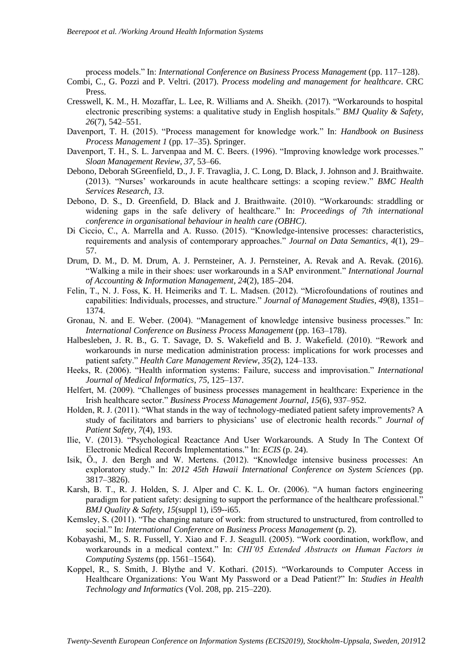process models." In: *International Conference on Business Process Management* (pp. 117–128).

- Combi, C., G. Pozzi and P. Veltri. (2017). *Process modeling and management for healthcare*. CRC Press.
- Cresswell, K. M., H. Mozaffar, L. Lee, R. Williams and A. Sheikh. (2017). "Workarounds to hospital electronic prescribing systems: a qualitative study in English hospitals." *BMJ Quality & Safety*, *26*(7), 542–551.
- Davenport, T. H. (2015). "Process management for knowledge work." In: *Handbook on Business Process Management 1* (pp. 17–35). Springer.
- Davenport, T. H., S. L. Jarvenpaa and M. C. Beers. (1996). "Improving knowledge work processes." *Sloan Management Review*, *37*, 53–66.
- Debono, Deborah SGreenfield, D., J. F. Travaglia, J. C. Long, D. Black, J. Johnson and J. Braithwaite. (2013). "Nurses' workarounds in acute healthcare settings: a scoping review." *BMC Health Services Research*, *13*.
- Debono, D. S., D. Greenfield, D. Black and J. Braithwaite. (2010). "Workarounds: straddling or widening gaps in the safe delivery of healthcare." In: *Proceedings of 7th international conference in organisational behaviour in health care (OBHC)*.
- Di Ciccio, C., A. Marrella and A. Russo. (2015). "Knowledge-intensive processes: characteristics, requirements and analysis of contemporary approaches." *Journal on Data Semantics*, *4*(1), 29– 57.
- Drum, D. M., D. M. Drum, A. J. Pernsteiner, A. J. Pernsteiner, A. Revak and A. Revak. (2016). "Walking a mile in their shoes: user workarounds in a SAP environment." *International Journal of Accounting & Information Management*, *24*(2), 185–204.
- Felin, T., N. J. Foss, K. H. Heimeriks and T. L. Madsen. (2012). "Microfoundations of routines and capabilities: Individuals, processes, and structure." *Journal of Management Studies*, *49*(8), 1351– 1374.
- Gronau, N. and E. Weber. (2004). "Management of knowledge intensive business processes." In: *International Conference on Business Process Management* (pp. 163–178).
- Halbesleben, J. R. B., G. T. Savage, D. S. Wakefield and B. J. Wakefield. (2010). "Rework and workarounds in nurse medication administration process: implications for work processes and patient safety." *Health Care Management Review*, *35*(2), 124–133.
- Heeks, R. (2006). "Health information systems: Failure, success and improvisation." *International Journal of Medical Informatics*, *75*, 125–137.
- Helfert, M. (2009). "Challenges of business processes management in healthcare: Experience in the Irish healthcare sector." *Business Process Management Journal*, *15*(6), 937–952.
- Holden, R. J. (2011). "What stands in the way of technology-mediated patient safety improvements? A study of facilitators and barriers to physicians' use of electronic health records." *Journal of Patient Safety*, *7*(4), 193.
- Ilie, V. (2013). "Psychological Reactance And User Workarounds. A Study In The Context Of Electronic Medical Records Implementations." In: *ECIS* (p. 24).
- Isik, Ö., J. den Bergh and W. Mertens. (2012). "Knowledge intensive business processes: An exploratory study." In: *2012 45th Hawaii International Conference on System Sciences* (pp. 3817–3826).
- Karsh, B. T., R. J. Holden, S. J. Alper and C. K. L. Or. (2006). "A human factors engineering paradigm for patient safety: designing to support the performance of the healthcare professional." *BMJ Quality & Safety*, *15*(suppl 1), i59--i65.
- Kemsley, S. (2011). "The changing nature of work: from structured to unstructured, from controlled to social." In: *International Conference on Business Process Management* (p. 2).
- Kobayashi, M., S. R. Fussell, Y. Xiao and F. J. Seagull. (2005). "Work coordination, workflow, and workarounds in a medical context." In: *CHI'05 Extended Abstracts on Human Factors in Computing Systems* (pp. 1561–1564).
- Koppel, R., S. Smith, J. Blythe and V. Kothari. (2015). "Workarounds to Computer Access in Healthcare Organizations: You Want My Password or a Dead Patient?" In: *Studies in Health Technology and Informatics* (Vol. 208, pp. 215–220).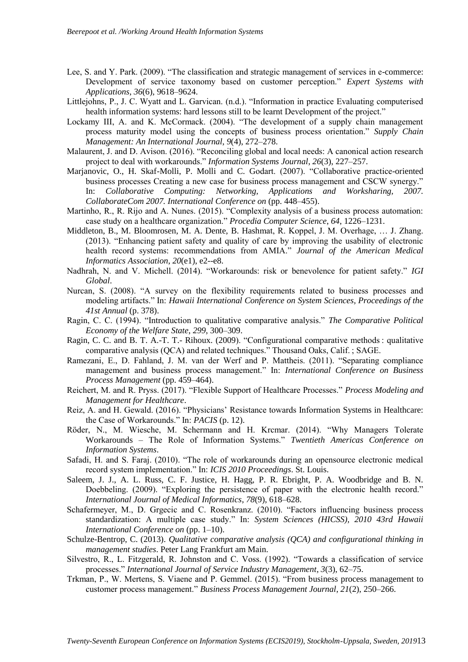- Lee, S. and Y. Park. (2009). "The classification and strategic management of services in e-commerce: Development of service taxonomy based on customer perception." *Expert Systems with Applications*, *36*(6), 9618–9624.
- Littlejohns, P., J. C. Wyatt and L. Garvican. (n.d.). "Information in practice Evaluating computerised health information systems: hard lessons still to be learnt Development of the project."
- Lockamy III, A. and K. McCormack. (2004). "The development of a supply chain management process maturity model using the concepts of business process orientation." *Supply Chain Management: An International Journal*, *9*(4), 272–278.
- Malaurent, J. and D. Avison. (2016). "Reconciling global and local needs: A canonical action research project to deal with workarounds." *Information Systems Journal*, *26*(3), 227–257.
- Marjanovic, O., H. Skaf-Molli, P. Molli and C. Godart. (2007). "Collaborative practice-oriented business processes Creating a new case for business process management and CSCW synergy." In: *Collaborative Computing: Networking, Applications and Worksharing, 2007. CollaborateCom 2007. International Conference on* (pp. 448–455).
- Martinho, R., R. Rijo and A. Nunes. (2015). "Complexity analysis of a business process automation: case study on a healthcare organization." *Procedia Computer Science*, *64*, 1226–1231.
- Middleton, B., M. Bloomrosen, M. A. Dente, B. Hashmat, R. Koppel, J. M. Overhage, … J. Zhang. (2013). "Enhancing patient safety and quality of care by improving the usability of electronic health record systems: recommendations from AMIA." *Journal of the American Medical Informatics Association*, *20*(e1), e2--e8.
- Nadhrah, N. and V. Michell. (2014). "Workarounds: risk or benevolence for patient safety." *IGI Global*.
- Nurcan, S. (2008). "A survey on the flexibility requirements related to business processes and modeling artifacts." In: *Hawaii International Conference on System Sciences, Proceedings of the 41st Annual* (p. 378).
- Ragin, C. C. (1994). "Introduction to qualitative comparative analysis." *The Comparative Political Economy of the Welfare State*, *299*, 300–309.
- Ragin, C. C. and B. T. A.-T. T.- Rihoux. (2009). "Configurational comparative methods : qualitative comparative analysis (QCA) and related techniques." Thousand Oaks, Calif. ; SAGE.
- Ramezani, E., D. Fahland, J. M. van der Werf and P. Mattheis. (2011). "Separating compliance management and business process management." In: *International Conference on Business Process Management* (pp. 459–464).
- Reichert, M. and R. Pryss. (2017). "Flexible Support of Healthcare Processes." *Process Modeling and Management for Healthcare*.
- Reiz, A. and H. Gewald. (2016). "Physicians' Resistance towards Information Systems in Healthcare: the Case of Workarounds." In: *PACIS* (p. 12).
- Röder, N., M. Wiesche, M. Schermann and H. Krcmar. (2014). "Why Managers Tolerate Workarounds – The Role of Information Systems." *Twentieth Americas Conference on Information Systems*.
- Safadi, H. and S. Faraj. (2010). "The role of workarounds during an opensource electronic medical record system implementation." In: *ICIS 2010 Proceedings*. St. Louis.
- Saleem, J. J., A. L. Russ, C. F. Justice, H. Hagg, P. R. Ebright, P. A. Woodbridge and B. N. Doebbeling. (2009). "Exploring the persistence of paper with the electronic health record." *International Journal of Medical Informatics*, *78*(9), 618–628.
- Schafermeyer, M., D. Grgecic and C. Rosenkranz. (2010). "Factors influencing business process standardization: A multiple case study." In: *System Sciences (HICSS), 2010 43rd Hawaii International Conference on* (pp. 1–10).
- Schulze-Bentrop, C. (2013). *Qualitative comparative analysis (QCA) and configurational thinking in management studies*. Peter Lang Frankfurt am Main.
- Silvestro, R., L. Fitzgerald, R. Johnston and C. Voss. (1992). "Towards a classification of service processes." *International Journal of Service Industry Management*, *3*(3), 62–75.
- Trkman, P., W. Mertens, S. Viaene and P. Gemmel. (2015). "From business process management to customer process management." *Business Process Management Journal*, *21*(2), 250–266.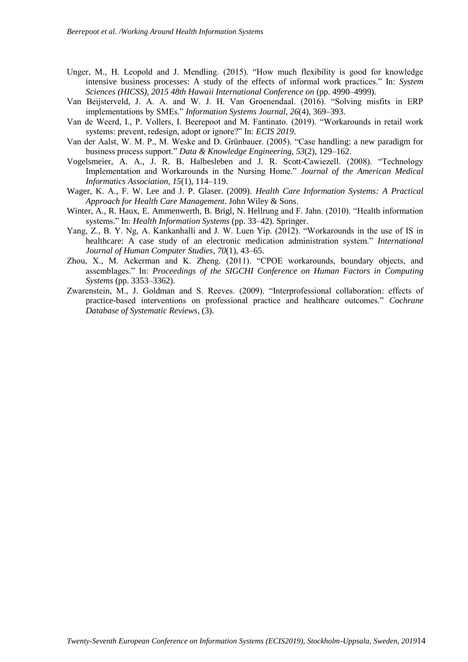- Unger, M., H. Leopold and J. Mendling. (2015). "How much flexibility is good for knowledge intensive business processes: A study of the effects of informal work practices." In: *System Sciences (HICSS), 2015 48th Hawaii International Conference on* (pp. 4990–4999).
- Van Beijsterveld, J. A. A. and W. J. H. Van Groenendaal. (2016). "Solving misfits in ERP implementations by SMEs." *Information Systems Journal*, *26*(4), 369–393.
- Van de Weerd, I., P. Vollers, I. Beerepoot and M. Fantinato. (2019). "Workarounds in retail work systems: prevent, redesign, adopt or ignore?" In: *ECIS 2019*.
- Van der Aalst, W. M. P., M. Weske and D. Grünbauer. (2005). "Case handling: a new paradigm for business process support." *Data & Knowledge Engineering*, *53*(2), 129–162.
- Vogelsmeier, A. A., J. R. B. Halbesleben and J. R. Scott-Cawiezell. (2008). "Technology Implementation and Workarounds in the Nursing Home." *Journal of the American Medical Informatics Association*, *15*(1), 114–119.
- Wager, K. A., F. W. Lee and J. P. Glaser. (2009). *Health Care Information Systems: A Practical Approach for Health Care Management*. John Wiley & Sons.
- Winter, A., R. Haux, E. Ammenwerth, B. Brigl, N. Hellrung and F. Jahn. (2010). "Health information systems." In: *Health Information Systems* (pp. 33–42). Springer.
- Yang, Z., B. Y. Ng, A. Kankanhalli and J. W. Luen Yip. (2012). "Workarounds in the use of IS in healthcare: A case study of an electronic medication administration system." *International Journal of Human Computer Studies*, *70*(1), 43–65.
- Zhou, X., M. Ackerman and K. Zheng. (2011). "CPOE workarounds, boundary objects, and assemblages." In: *Proceedings of the SIGCHI Conference on Human Factors in Computing Systems* (pp. 3353–3362).
- Zwarenstein, M., J. Goldman and S. Reeves. (2009). "Interprofessional collaboration: effects of practice-based interventions on professional practice and healthcare outcomes." *Cochrane Database of Systematic Reviews*, (3).